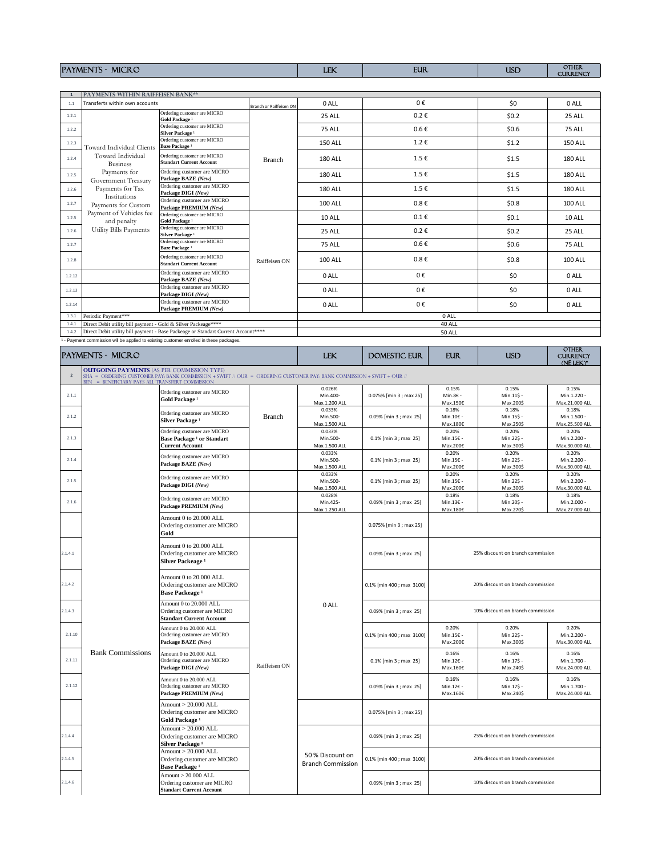| <b>MICRO</b><br><b>PAYME</b><br>$-$ | LEV.<br><b>TTV</b> | <b>EUR</b> | <b>USD</b> | <b>OTHER</b><br><b>CURRENCY</b> |
|-------------------------------------|--------------------|------------|------------|---------------------------------|
|                                     |                    |            |            |                                 |

| $\mathbf{1}$ | <b>PAYMENTS WITHIN RAIFFEISEN BANK**</b>                       |                                                                                       |                         |                |                    |               |         |                |
|--------------|----------------------------------------------------------------|---------------------------------------------------------------------------------------|-------------------------|----------------|--------------------|---------------|---------|----------------|
| 1.1          | Transferts within own accounts                                 |                                                                                       | Branch or Raiffeisen ON | 0 ALL          | 0€                 |               | \$0     | 0 ALL          |
| 1.2.1        |                                                                | Ordering customer are MICRO<br>Gold Package <sup>1</sup>                              |                         | 25 ALL         | $0.2 \in$          |               | \$0.2\$ | 25 ALL         |
| 1.2.2        |                                                                | Ordering customer are MICRO<br>Silver Package <sup>1</sup>                            |                         | <b>75 ALL</b>  | $0.6 \in$          |               | \$0.6   | <b>75 ALL</b>  |
| 1.2.3        | Toward Individual Clients                                      | Ordering customer are MICRO<br>Baze Package <sup>1</sup>                              |                         | <b>150 ALL</b> | $1.2 \text{ } \in$ |               | \$1.2   | <b>150 ALL</b> |
| 1.2.4        | Toward Individual<br><b>Business</b>                           | Ordering customer are MICRO<br><b>Standart Current Account</b>                        | <b>Branch</b>           | <b>180 ALL</b> | 1.5€               |               | \$1.5   | <b>180 ALL</b> |
| 1.2.5        | Payments for<br>Government Treasury                            | Ordering customer are MICRO<br>Package BAZE (New)                                     |                         | <b>180 ALL</b> | 1.5€               |               | \$1.5   | <b>180 ALL</b> |
| 1.2.6        | Payments for Tax<br>Institutions                               | Ordering customer are MICRO<br>Package DIGI (New)                                     |                         | <b>180 ALL</b> | 1.5€               |               | \$1.5   | <b>180 ALL</b> |
| 1.2.7        | Payments for Custom                                            | Ordering customer are MICRO<br>Package PREMIUM (New)                                  |                         | <b>100 ALL</b> | $0.8 \in$          |               | \$0.8   | <b>100 ALL</b> |
| 1.2.5        | Payment of Vehicles fee<br>and penalty                         | Ordering customer are MICRO<br>Gold Package <sup>1</sup>                              |                         | 10 ALL         | $0.1 \in$          |               | \$0.1   | 10 ALL         |
| 1.2.6        | Utility Bills Payments                                         | Ordering customer are MICRO<br>Silver Package <sup>1</sup>                            | Raiffeisen ON           | 25 ALL         | $0.2 \in$          |               | \$0.2\$ | 25 ALL         |
| 1.2.7        |                                                                | Ordering customer are MICRO<br>Baze Package <sup>1</sup>                              |                         | <b>75 ALL</b>  | $0.6 \in$          |               | \$0.6   | <b>75 ALL</b>  |
| 1.2.8        |                                                                | Ordering customer are MICRO<br><b>Standart Current Account</b>                        |                         | <b>100 ALL</b> | $0.8 \in$          |               | \$0.8\$ | <b>100 ALL</b> |
| 1.2.12       |                                                                | Ordering customer are MICRO<br>Package BAZE (New)                                     |                         | 0 ALL          | 0€                 |               | \$0     | 0 ALL          |
| 1.2.13       |                                                                | Ordering customer are MICRO<br>Package DIGI (New)                                     |                         | 0 ALL          | 0€                 |               | \$0     | 0 ALL          |
| 1.2.14       |                                                                | Ordering customer are MICRO<br>Package PREMIUM (New)                                  |                         | 0 ALL          | 0€                 |               | \$0     | 0 ALL          |
| 1.3.1        | Periodic Payment***                                            |                                                                                       |                         |                |                    | 0 ALL         |         |                |
| 1.4.1        | Direct Debit utility bill payment - Gold & Silver Packeage**** |                                                                                       |                         |                |                    | 40 ALL        |         |                |
| 1.4.2        |                                                                | Direct Debit utility bill payment - Base Packeage or Standart Current Account*****    |                         |                |                    | <b>50 ALL</b> |         |                |
|              |                                                                | - Payment commission will be applied to existing customer enrolled in these packages. |                         |                |                    |               |         |                |
|              |                                                                |                                                                                       |                         |                |                    |               |         | <b>OTHER</b>   |

|                | <b>PAYMENTS - MICRO</b>                                                                              |                                                                                                                       |               | <b>LEK</b><br><b>EUR</b><br><b>USD</b><br>DOMESTIC EUR |                           |                                   |                                   |                                        |
|----------------|------------------------------------------------------------------------------------------------------|-----------------------------------------------------------------------------------------------------------------------|---------------|--------------------------------------------------------|---------------------------|-----------------------------------|-----------------------------------|----------------------------------------|
| $\overline{2}$ | <b>OUTGOING PAYMENTS (AS PER COMMISSION TYPE)</b><br>BEN = BENEFICIARY PAYS ALL TRANSFERT COMMISSION | SHA = ORDERING CUSTOMER PAY: BANK COMMISSION + SWIFT // OUR = ORDERING CUSTOMER PAY: BANK COMMISSION + SWIFT + OUR // |               |                                                        |                           |                                   |                                   |                                        |
| 2.1.1          |                                                                                                      | Ordering customer are MICRO<br>Gold Package <sup>1</sup>                                                              |               | 0.026%<br>Min.400-<br>Max.1.200 ALL                    | 0.075% [min 3 ; max 25]   | 0.15%<br>Min.8€ -<br>Max.150€     | 0.15%<br>Min.11\$ -<br>Max.200\$  | 0.15%<br>Min.1.220 -<br>Max.21.000 ALL |
| 2.1.2          |                                                                                                      | Ordering customer are MICRO<br>Silver Package <sup>1</sup>                                                            | <b>Branch</b> | 0.033%<br>Min.500-<br>Max.1.500 ALL                    | 0.09% [min 3 ; max 25]    | 0.18%<br>Min.10€ -<br>Max.180€    | 0.18%<br>Min.15\$ -<br>Max.250\$  | 0.18%<br>Min.1.500 -<br>Max.25.500 ALL |
| 2.1.3          |                                                                                                      | Ordering customer are MICRO<br><b>Base Package 1 or Standart</b><br><b>Current Account</b>                            |               | 0.033%<br>Min.500-<br>Max.1.500 ALL                    | $0.1\%$ [min 3 ; max 25]  | 0.20%<br>Min.15€ -<br>Max.200€    | 0.20%<br>Min.22\$ -<br>Max.300\$  | 0.20%<br>Min.2.200 -<br>Max.30.000 ALL |
| 2.1.4          |                                                                                                      | Ordering customer are MICRO<br>Package BAZE (New)                                                                     |               | 0.033%<br>Min.500-<br>Max.1.500 ALL                    | 0.1% [min 3 ; max 25]     | 0.20%<br>Min.15€ -<br>Max.200€    | 0.20%<br>Min.22\$ -<br>Max.300\$  | 0.20%<br>Min.2.200 -<br>Max.30.000 ALL |
| 2.1.5          |                                                                                                      | Ordering customer are MICRO<br>Package DIGI (New)                                                                     |               | 0.033%<br>Min.500-<br>Max.1.500 ALL                    | 0.1% [min 3 ; max 25]     | 0.20%<br>Min.15€ -<br>Мах.200€    | 0.20%<br>Min.22\$ -<br>Max.300\$  | 0.20%<br>Min.2.200 -<br>Max.30.000 ALL |
| 2.1.6          |                                                                                                      | Ordering customer are MICRO<br>Package PREMIUM (New)                                                                  |               | 0.028%<br>Min.425-<br>Max.1.250 ALL                    | 0.09% [min 3 ; max 25]    | 0.18%<br>Min.13€ -<br>Max.180€    | 0.18%<br>Min.20\$ -<br>Max.270\$  | 0.18%<br>Min.2.000 -<br>Max.27.000 ALL |
|                |                                                                                                      | Amount 0 to 20.000 ALL<br>Ordering customer are MICRO<br>Gold                                                         |               |                                                        | 0.075% [min 3 ; max 25]   |                                   |                                   |                                        |
| 2.1.4.1        |                                                                                                      | Amount 0 to 20.000 ALL<br>Ordering customer are MICRO<br>Silver Packeage <sup>1</sup>                                 | Raiffeisen ON |                                                        | 0.09% [min 3 ; max 25]    | 25% discount on branch commission |                                   |                                        |
| 2.1.4.2        |                                                                                                      | Amount 0 to 20,000 ALL<br>Ordering customer are MICRO<br><b>Base Packeage</b> <sup>1</sup>                            |               |                                                        | 0.1% [min 400 ; max 3100] | 20% discount on branch commission |                                   |                                        |
| 2.1.4.3        |                                                                                                      | Amount 0 to 20.000 ALL<br>Ordering customer are MICRO<br><b>Standart Current Account</b>                              |               | 0 ALL                                                  | 0.09% [min 3 ; max 25]    | 10% discount on branch commission |                                   |                                        |
| 2.1.10         |                                                                                                      | Amount 0 to 20.000 ALL<br>Ordering customer are MICRO<br>Package BAZE (New)                                           |               |                                                        | 0.1% [min 400 ; max 3100] | 0.20%<br>Min.15€ -<br>Max.200€    | 0.20%<br>Min.22\$ -<br>Max.300\$  | 0.20%<br>Min.2.200 -<br>Max.30.000 ALL |
| 2.1.11         | <b>Bank Commissions</b>                                                                              | Amount 0 to 20.000 ALL<br>Ordering customer are MICRO<br>Package DIGI (New)                                           |               |                                                        | 0.1% [min 3 ; max 25]     | 0.16%<br>Min.12€ -<br>Max.160€    | 0.16%<br>Min.17\$ -<br>Max.240\$  | 0.16%<br>Min.1.700 -<br>Max.24.000 ALL |
| 2.1.12         |                                                                                                      | Amount 0 to 20.000 ALL<br>Ordering customer are MICRO<br>Package PREMIUM (New)                                        |               |                                                        | 0.09% [min 3 ; max 25]    | 0.16%<br>Min.12€ -<br>Max.160€    | 0.16%<br>Min.17\$ -<br>Max.240\$  | 0.16%<br>Min.1.700 -<br>Max.24.000 ALL |
|                |                                                                                                      | Amount $> 20.000$ ALL<br>Ordering customer are MICRO<br>Gold Package <sup>1</sup>                                     |               |                                                        | 0.075% [min 3 ; max 25]   |                                   |                                   |                                        |
| 2.1.4.4        |                                                                                                      | Amount > 20.000 ALL<br>Ordering customer are MICRO<br>Silver Package <sup>1</sup>                                     |               |                                                        | 0.09% [min 3 ; max 25]    |                                   | 25% discount on branch commission |                                        |
| 2.1.4.5        |                                                                                                      | Amount $> 20.000$ ALL<br>Ordering customer are MICRO<br>Base Package <sup>1</sup>                                     |               | 50 % Discount on<br><b>Branch Commission</b>           | 0.1% [min 400 ; max 3100] |                                   | 20% discount on branch commission |                                        |
| 2.1.4.6        |                                                                                                      | Amount > 20.000 ALL<br>Ordering customer are MICRO<br><b>Standart Current Account</b>                                 |               |                                                        | 0.09% [min 3 ; max 25]    |                                   | 10% discount on branch commission |                                        |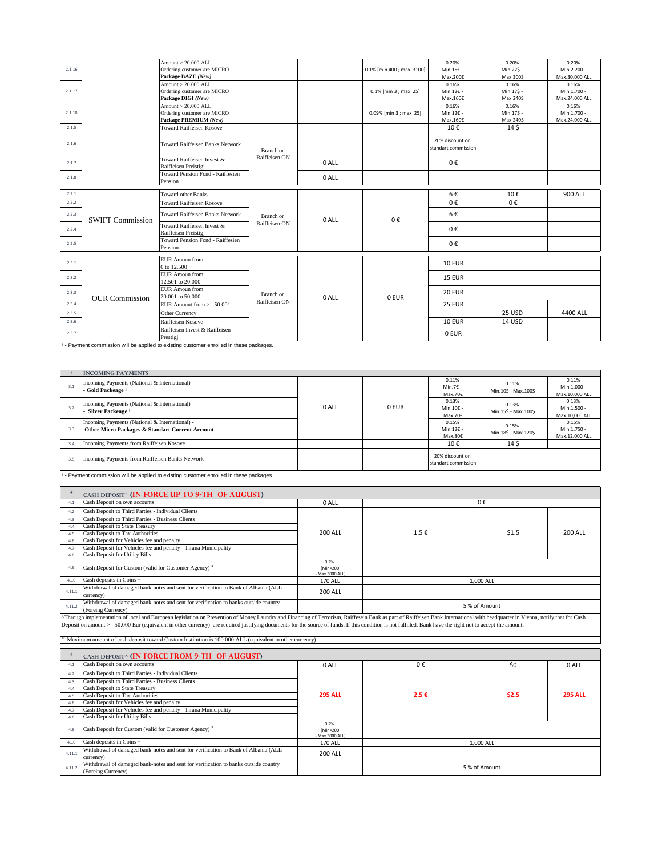| 2.1.16 |                         | Amount $> 20,000$ ALL<br>Ordering customer are MICRO<br>Package BAZE (New)                         |               |       | 0.1% [min 400 ; max 3100] | 0.20%<br>Min.15€ -                         | 0.20%<br>Min.22\$ -                           | 0.20%<br>Min.2.200 -                                     |
|--------|-------------------------|----------------------------------------------------------------------------------------------------|---------------|-------|---------------------------|--------------------------------------------|-----------------------------------------------|----------------------------------------------------------|
| 2.1.17 |                         | Amount > 20.000 ALL<br>Ordering customer are MICRO<br>Package DIGI (New)                           |               |       | 0.1% [min 3 ; max 25]     | Max.200€<br>0.16%<br>Min.12€ -<br>Max.160€ | Max.300\$<br>0.16%<br>Min.17\$ -<br>Max.240\$ | Max.30.000 ALL<br>0.16%<br>Min.1.700 -<br>Max.24.000 ALL |
| 2.1.18 |                         | Amount > 20,000 ALL<br>Ordering customer are MICRO<br>Package PREMIUM (New)                        |               |       | 0.09% [min 3 ; max 25]    | 0.16%<br>Min.12€ -<br>Max.160€             | 0.16%<br>Min.17\$ -<br>Max.240\$              | 0.16%<br>Min.1.700 -<br>Max.24.000 ALL                   |
| 2.1.5  |                         | <b>Toward Raiffeisen Kosove</b>                                                                    |               |       |                           | 10€                                        | 14\$                                          |                                                          |
| 2.1.6  |                         | <b>Toward Raiffeisen Banks Network</b>                                                             | Branch or     |       |                           | 20% discount on<br>standart commission     |                                               |                                                          |
| 2.1.7  |                         | Toward Raiffeisen Invest &<br>Raiffeisen Preistigj                                                 | Raiffeisen ON | 0 ALL |                           | 0€                                         |                                               |                                                          |
| 2.1.8  |                         | Toward Pension Fond - Raiffesien<br>Pension                                                        |               | 0 ALL |                           |                                            |                                               |                                                          |
| 2.2.1  |                         | <b>Toward other Banks</b>                                                                          |               |       |                           | 6€                                         | 10€                                           | 900 ALL                                                  |
| 2.2.2  |                         | <b>Toward Raiffeisen Kosove</b>                                                                    |               |       |                           | 0€                                         | 0€                                            |                                                          |
| 2.2.3  | <b>SWIFT Commission</b> | <b>Toward Raiffeisen Banks Network</b>                                                             | Branch or     | 0 ALL | 0€                        | 6€                                         |                                               |                                                          |
| 2.2.4  |                         | Toward Raiffeisen Invest &<br>Raiffeisen Preistigj                                                 | Raiffeisen ON |       |                           | 0€                                         |                                               |                                                          |
| 2.2.5  |                         | Toward Pension Fond - Raiffesien<br>Pension                                                        |               |       |                           | 0€                                         |                                               |                                                          |
| 2.3.1  |                         | <b>EUR Amoun from</b><br>0 to 12.500                                                               |               |       |                           | <b>10 EUR</b>                              |                                               |                                                          |
| 2.3.2  |                         | <b>EUR</b> Amoun from<br>12.501 to 20.000                                                          |               |       |                           | 15 EUR                                     |                                               |                                                          |
| 2.3.3  | <b>OUR Commission</b>   | <b>EUR</b> Amoun from<br>20,001 to 50,000                                                          | Branch or     | 0 ALL | 0 EUR                     | <b>20 EUR</b>                              |                                               |                                                          |
| 2.3.4  |                         | EUR Amount from $>= 50.001$                                                                        | Raiffeisen ON |       |                           | <b>25 EUR</b>                              |                                               |                                                          |
| 2.3.5  |                         | Other Currency                                                                                     |               |       |                           |                                            | 25 USD                                        | 4400 ALL                                                 |
| 2.3.6  |                         | Raiffeisen Kosove                                                                                  |               |       |                           | <b>10 EUR</b>                              | 14 USD                                        |                                                          |
| 2.3.7  |                         | Raiffeisen Invest & Raiffeisen<br>Prestigi                                                         |               |       |                           | 0 EUR                                      |                                               |                                                          |
|        |                         | <sup>1</sup> - Payment commission will be applied to existing customer enrolled in these packages. |               |       |                           |                                            |                                               |                                                          |

|     | <b>INCOMING PAYMENTS</b>                                                                          |       |       |                                        |                                                  |                                        |
|-----|---------------------------------------------------------------------------------------------------|-------|-------|----------------------------------------|--------------------------------------------------|----------------------------------------|
| 3.1 | Incoming Payments (National & International)<br>- Gold Packeage <sup>1</sup>                      |       |       | 0.11%<br>Min.7€ -<br>Max.70€           | 0.11%<br>Min.10\$ - Max.100\$                    | 0.11%<br>Min.1.000 -<br>Max.10.000 ALL |
| 3.2 | Incoming Payments (National & International)<br>- Silver Packeage <sup>1</sup>                    | 0 ALL | 0 EUR | 0.13%<br>Min.10€ -<br>Max.70€          | 0.13%<br>Min.15\$ - Max.100\$                    | 0.13%<br>Min.1.500 -<br>Max.10.000 ALL |
| 3.3 | Incoming Payments (National & International) -<br>Other Micro Packages & Standart Current Account |       |       | 0.15%<br>Min.12€ -<br>Max.80€          | 0.15%<br>Min.18\$ - Max.120\$<br>14 <sub>5</sub> | 0.15%<br>Min.1.750 -<br>Max.12.000 ALL |
| 3.4 | Incoming Payments from Raiffeisen Kosove                                                          |       |       | 10€                                    |                                                  |                                        |
| 3.5 | Incoming Payments from Raiffeisen Banks Network                                                   |       |       | 20% discount on<br>standart commission |                                                  |                                        |

1 - Payment commission will be applied to existing customer enrolled in these packages.

| $\overline{a}$ | CASH DEPOSIT^ (IN FORCE UP TO 9-TH OF AUGUST)                                                                                                                                                                                                                                                                         |                                     |                    |               |                |
|----------------|-----------------------------------------------------------------------------------------------------------------------------------------------------------------------------------------------------------------------------------------------------------------------------------------------------------------------|-------------------------------------|--------------------|---------------|----------------|
| 4.1            | Cash Deposit on own accounts                                                                                                                                                                                                                                                                                          | 0 ALL                               |                    | 0€            |                |
| 4.2            | Cash Deposit to Third Parties - Individual Clients                                                                                                                                                                                                                                                                    |                                     |                    |               |                |
| 4.3            | Cash Deposit to Third Parties - Business Clients                                                                                                                                                                                                                                                                      |                                     |                    |               |                |
| 4.4            | Cash Deposit to State Treasury                                                                                                                                                                                                                                                                                        |                                     |                    |               |                |
| 4.5            | Cash Deposit to Tax Authorities                                                                                                                                                                                                                                                                                       | 200 ALL                             | $1.5 \text{ } \in$ | \$1.5         | 200 ALL        |
| 4.6            | Cash Deposit for Vehicles fee and penalty                                                                                                                                                                                                                                                                             |                                     |                    |               |                |
| 4.7            | Cash Deposit for Vehicles fee and penalty - Tirana Municipality                                                                                                                                                                                                                                                       |                                     |                    |               |                |
| 4.8            | <b>Cash Deposit for Utility Bills</b>                                                                                                                                                                                                                                                                                 |                                     |                    |               |                |
| 4.9            | Cash Deposit for Custom (valid for Customer Agency) <sup>*</sup>                                                                                                                                                                                                                                                      | 0.2%<br>(Min=200<br>- Max 3000 ALL) |                    |               |                |
| 4.10           | Cash deposits in Coins ~                                                                                                                                                                                                                                                                                              | <b>170 ALL</b>                      |                    | 1,000 ALL     |                |
| 4.11.1         | Withdrawal of damaged bank-notes and sent for verification to Bank of Albania (ALL<br>currency)                                                                                                                                                                                                                       | <b>200 ALL</b>                      |                    |               |                |
| 4.11.2         | Withdrawal of damaged bank-notes and sent for verification to banks outside country<br>(Foreing Currency)                                                                                                                                                                                                             |                                     |                    | 5 % of Amount |                |
|                | Deposit on amount >= 50.000 Eur (equivalent in other currency) are required justifying documents for the source of funds. If this condition is not fulfilled, Bank have the right not to accept the amount.<br>Maximum amount of cash deposit toward Custom Institution is 100.000 ALL (equivalent in other currency) |                                     |                    |               |                |
| $\overline{4}$ | CASH DEPOSIT^ (IN FORCE FROM 9-TH OF AUGUST)                                                                                                                                                                                                                                                                          |                                     |                    |               |                |
| 4.1            | Cash Deposit on own accounts                                                                                                                                                                                                                                                                                          | 0 ALL                               | $0 \in$            | \$0           | 0 ALL          |
| 4.2            | Cash Deposit to Third Parties - Individual Clients                                                                                                                                                                                                                                                                    |                                     |                    |               |                |
| 4.3            | Cash Deposit to Third Parties - Business Clients                                                                                                                                                                                                                                                                      |                                     |                    |               |                |
| 4.4            | Cash Deposit to State Treasury                                                                                                                                                                                                                                                                                        |                                     |                    |               |                |
| 4.5            | Cash Deposit to Tax Authorities                                                                                                                                                                                                                                                                                       | <b>295 ALL</b>                      | 2.5€               | \$2.5         | <b>295 ALL</b> |
| 4.6            | Cash Deposit for Vehicles fee and penalty                                                                                                                                                                                                                                                                             |                                     |                    |               |                |
| 4.7            | Cash Deposit for Vehicles fee and penalty - Tirana Municipality                                                                                                                                                                                                                                                       |                                     |                    |               |                |
| 4.8            | Cash Deposit for Utility Bills                                                                                                                                                                                                                                                                                        |                                     |                    |               |                |
| 4.9            | Cash Deposit for Custom (valid for Customer Agency) <sup>*</sup>                                                                                                                                                                                                                                                      | 0.2%<br>(Min=200<br>- Max 3000 ALL) |                    |               |                |
| 4.10           | Cash deposits in Coins ~                                                                                                                                                                                                                                                                                              | 170 ALL                             |                    | 1,000 ALL     |                |
| 4.11.1         | Withdrawal of damaged bank-notes and sent for verification to Bank of Albania (ALL<br>currency)                                                                                                                                                                                                                       | <b>200 ALL</b>                      |                    |               |                |
| 4.11.2         | Withdrawal of damaged bank-notes and sent for verification to banks outside country<br>(Foreing Currency)                                                                                                                                                                                                             |                                     |                    | 5 % of Amount |                |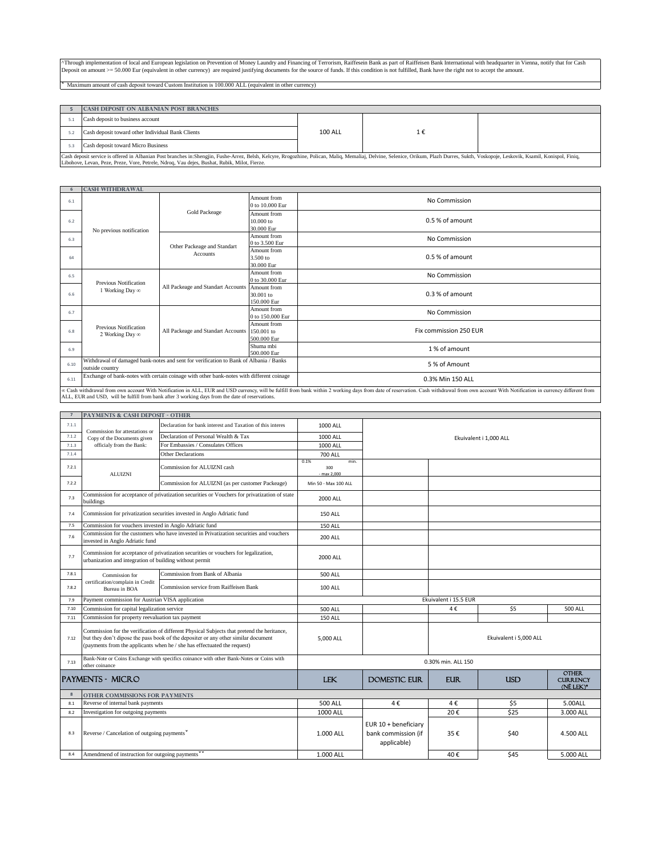^Through implementation of local and European legislation on Prevention of Money Laundry and Financing of Terrorism, Raiffesein Bank as part of Raiffeisen Bank International with headquarter in Vienna, notify that for Cash Deposit on amount  $>= 50.000$  Eur (equivalent in other currency) are required justifying documents for the source of funds. If this condition is not fulfilled, Bank have the right not to accept the amount.

͌ Maximum amount of cash deposit toward Custom Institution is 100.000 ALL (equivalent in other currency)

|     | <b>CASH DEPOSIT ON ALBANIAN POST BRANCHES</b>                                                                                                                                                                                  |                |    |  |
|-----|--------------------------------------------------------------------------------------------------------------------------------------------------------------------------------------------------------------------------------|----------------|----|--|
|     | Cash deposit to business account                                                                                                                                                                                               |                |    |  |
|     | Cash deposit toward other Individual Bank Clients                                                                                                                                                                              | <b>100 ALL</b> | 1€ |  |
| 5.3 | Cash deposit toward Micro Business                                                                                                                                                                                             |                |    |  |
|     | Cash deposit service is offered in Albanian Post branches in:Shengjin, Fushe-Arrez, Belsh, Kelcyre, Rrogozhine, Polican, Maliq, Memaliaj, Delvine, Selenice, Orikum, Plazh Durres, Sukth, Voskopoje, Leskovik, Ksamil, Konispo |                |    |  |
|     | Libohove, Levan, Peze, Preze, Vore, Petrele, Ndroq, Vau dejes, Bushat, Rubik, Milot, Fierze.                                                                                                                                   |                |    |  |

|      | <b>CASH WITHDRAWAL</b>                   |                                                                                                  |                                          |                                                                                                                                                                                                                                |
|------|------------------------------------------|--------------------------------------------------------------------------------------------------|------------------------------------------|--------------------------------------------------------------------------------------------------------------------------------------------------------------------------------------------------------------------------------|
| 6.1  |                                          |                                                                                                  | Amount from<br>0 to 10,000 Eur           | No Commission                                                                                                                                                                                                                  |
| 6.2  | No previous notification                 | <b>Gold Packeage</b>                                                                             | Amount from<br>10.000 to<br>30,000 Eur   | $0.5%$ of amount                                                                                                                                                                                                               |
| 6.3  |                                          |                                                                                                  | Amount from<br>0 to 3.500 Eur            | No Commission                                                                                                                                                                                                                  |
| 64   |                                          | Other Packeage and Standart<br><b>Accounts</b>                                                   | Amount from<br>3.500 to<br>30,000 Eur    | 0.5 % of amount                                                                                                                                                                                                                |
| 6.5  | Previous Notification                    |                                                                                                  | Amount from<br>0 to 30,000 Eur           | No Commission                                                                                                                                                                                                                  |
| 6.6  | 1 Working Day ∞                          | All Packeage and Standart Accounts                                                               | Amount from<br>30.001 to<br>150,000 Eur  | 0.3 % of amount                                                                                                                                                                                                                |
| 6.7  |                                          |                                                                                                  | Amount from<br>0 to 150,000 Eur          | No Commission                                                                                                                                                                                                                  |
| 6.8  | Previous Notification<br>2 Working Day ∞ | All Packeage and Standart Accounts                                                               | Amount from<br>150,001 to<br>500,000 Eur | Fix commission 250 EUR                                                                                                                                                                                                         |
| 6.9  |                                          |                                                                                                  | Shuma mbi<br>500,000 Eur                 | 1% of amount                                                                                                                                                                                                                   |
| 6.10 | outside country                          | Withdrawal of damaged bank-notes and sent for verification to Bank of Albania / Banks            |                                          | 5 % of Amount                                                                                                                                                                                                                  |
| 6.11 |                                          | Exchange of bank-notes with certain coinage with other bank-notes with different coinage         |                                          | 0.3% Min 150 ALL                                                                                                                                                                                                               |
|      |                                          | ALL ELID and LISD, will be fulfill from bank after 2 working days from the date of recognitions. |                                          | oc Cash withdrawal from own account With Notification in ALL, EUR and USD currency, will be fulfill from bank within 2 working days from date of reservation. Cash withdrawal from own account With Notification in currency d |

**7** 7.1.1 Declaration for bank interest and Taxation of this interes 1000 ALL <sup>7.1.2</sup> Copy of the Documents given Declaration of Personal Wealth & Tax 1000 ALL 7.1.3 officialy from the Bank: For Embassies / Consulates Offices 1000 ALL 7.1.4 **Other Declarations 700 ALL** 7.2.1 0.1% min. 300 - max 2,000 7.2.2 Commission for ALUIZNI (as per customer Packeage) Min 50 - Max 100 ALL 7.3 Commission for acceptance of privatization securities or Vouchers for privatization of state 2000 ALL 7.4 150 ALL Commission for privatization securities invested in Anglo Adriatic fund 7.5 Commission for vouchers invested in Anglo Adriatic fund 150 ALL 150 ALL <sup>7.6</sup> Commission for the customers who have invested in Privatization securities and vouchers<br><sup>7.6</sup> invested in Angle Adriatic fund <sup>7.7</sup> Commission for acceptance of privatization securities or vouchers for legalization,<br><sup>7.7</sup> urbanization and integration of building without permit 7.8.1 Commission for Commission from Bank of Albania 500 ALL 7.8.2 100 ALL Bureau in BOA Commission service from Raiffeisen Bank 7.9 7.10 Commission for capital legalization service  $\overline{500 \text{ ALL}}$  500 ALL  $\overline{4 \epsilon}$  4 €  $\overline{55}$  500 ALL 7.11 Commission for property reevaluation tax payment 150 ALL 7.12 but they don't dipose the pass book of the depositer or any other similar document (payments from the applicants when he / she has effectuated the request) 5,000 ALL 7.13 LEK DOMESTIC EUR EUR USD Other Currency (NË LEK)\* **8** 8.1 500 ALL 4 € 4 € \$5 5.00ALL Reverse of internal bank payments 8.2 Investigation for outgoing payments **and the COVID-SISTEM COVID-SISTEM** 20€ 525 3.000 ALL 3.000 ALL 8.3 1.000 ALL 35 € \$40 4.500 ALL Reverse / Cancelation of outgoing paymentsˇ 8.4 Amendmend of instruction for outgoing payments<sup>★</sup> **All amendment of instruction for outgoing payments** and the state of the state of the state of the state of the state of the state of the state of the state of the st Commission for ALUIZNI cash uildings ALL, EUR and USD, will be fulfill from bank after 3 working days from the date of reservations. Ekuivalent i 1,000 ALL Payments - MICRO 0.30% min. ALL 150 **Other commissions for Payments** Ekuivalent i 15.5 EUR Ekuivalent i 5,000 ALL EUR 10 + beneficiary bank commission (if applicable) vested in Anglo Adriatic fund urbanization and integration of building without permit Commission for ertification/complain in Credit<br>Bureau in BOA Bank-Note or Coins Exchange with specifics coinance with other Bank-Notes or Coins with other coinance Payment commission for Austrian VISA application Commission for the verification of different Physical Subjects that pretend the heritance, ALUIZNI Commission for attestations or Copy of the Documents given officialy from the Bank: **Payments & Cash Deposit - Other**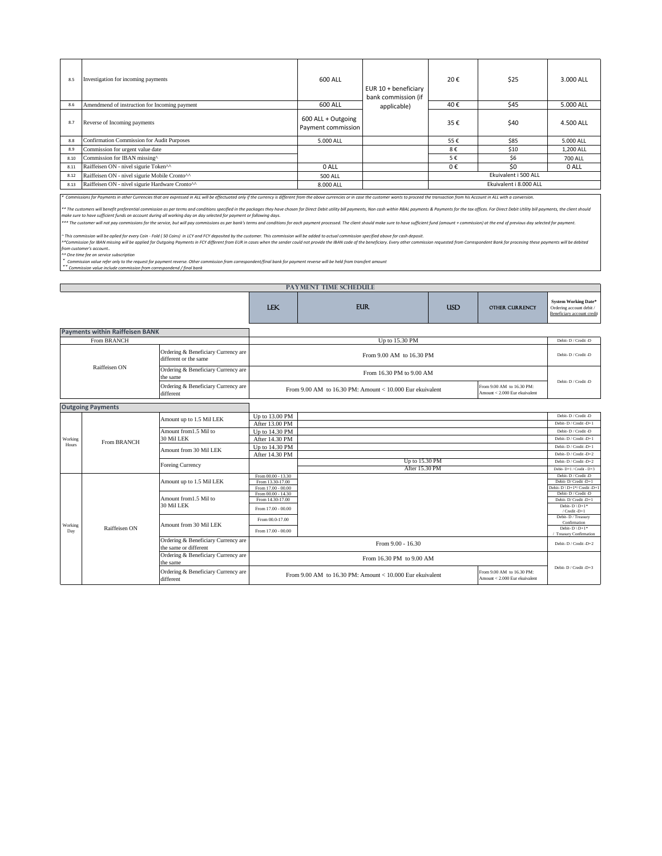| 8.5  | Investigation for incoming payments                                                                                                                                                                                            | 600 ALL                                  | EUR $10 +$ beneficiary<br>bank commission (if | 20€ | \$25                   | 3.000 ALL      |
|------|--------------------------------------------------------------------------------------------------------------------------------------------------------------------------------------------------------------------------------|------------------------------------------|-----------------------------------------------|-----|------------------------|----------------|
| 8.6  | Amendmend of instruction for Incoming payment                                                                                                                                                                                  | 600 ALL                                  | applicable)                                   | 40€ | \$45                   | 5.000 ALL      |
| 8.7  | Reverse of Incoming payments                                                                                                                                                                                                   | 600 ALL + Outgoing<br>Payment commission |                                               | 35€ | \$40                   | 4.500 ALL      |
| 8.8  | Confirmation Commission for Audit Purposes                                                                                                                                                                                     | 5.000 ALL                                |                                               | 55€ | \$85                   | 5.000 ALL      |
| 8.9  | Commission for urgent value date                                                                                                                                                                                               |                                          |                                               | 8€  | \$10                   | 1,200 ALL      |
| 8.10 | Commission for IBAN missing^                                                                                                                                                                                                   |                                          |                                               | 5€  | \$6                    | <b>700 ALL</b> |
| 8.11 | Raiffeisen ON - nivel sigurie Token^^                                                                                                                                                                                          | 0 ALL                                    |                                               | 0€  | \$0                    | 0 ALL          |
| 8.12 | Raiffeisen ON - nivel sigurie Mobile Cronto <sup>^^</sup>                                                                                                                                                                      | <b>500 ALL</b>                           |                                               |     | Ekuivalent i 500 ALL   |                |
| 8.13 | Raiffeisen ON - nivel sigurie Hardware Cronto^^                                                                                                                                                                                | 8.000 ALL                                |                                               |     | Ekuivalent i 8.000 ALL |                |
|      | * Commissions for Payments in other Currencies that are expressed in ALL will be effectuated only if the currency is different from the above currencies or in case the customer wants to proceed the transaction from his Acc |                                          |                                               |     |                        |                |

\*\* The customers will benefit preferental commission as per terms and conditions specified in the packages they have chosen for Direct Debit utility bill payments, Non cash within RBAL payments & Payments for the tax offic

\*\*\* The customer will not pay commissions for the service, but will pay commissions as per bank's terms and conditions for each payment processed. The client should make sure to have sufficient fund (amount + commission) a

~ This commission will be aplied for every Coin - Fold (50 Coins) in LCY ond FCY deposited by the customer. This commission will be added to actual commission specified above for cash deposit.<br>^\*Commission for IBAN missing

*^^ One time fee on service subscription*

ັ Commission value refer only to the request for payment reverse. Other commission from correspondent/final bank for payment reverse will be held from transfert amount<br>ັັCommission value include commission from correspond

| <b>PAYMENT TIME SCHEDULE</b> |                                        |                                                              |                                          |                                                            |            |                                                            |                                                                                       |
|------------------------------|----------------------------------------|--------------------------------------------------------------|------------------------------------------|------------------------------------------------------------|------------|------------------------------------------------------------|---------------------------------------------------------------------------------------|
|                              |                                        |                                                              | <b>LEK</b>                               | <b>EUR</b>                                                 | <b>USD</b> | <b>OTHER CURRENCY</b>                                      | <b>System Working Date*</b><br>Ordering account debit /<br>Beneficiary account credit |
|                              | <b>Payments within Raiffeisen BANK</b> |                                                              |                                          |                                                            |            |                                                            |                                                                                       |
|                              | <b>From BRANCH</b>                     |                                                              |                                          | Up to 15.30 PM                                             |            |                                                            | Debit-D / Credit-D                                                                    |
|                              |                                        | Ordering & Beneficiary Currency are<br>different or the same |                                          | From 9.00 AM to 16.30 PM                                   |            |                                                            | Debit-D / Credit-D                                                                    |
|                              | Raiffeisen ON                          | Ordering & Beneficiary Currency are<br>the same              |                                          | From 16.30 PM to 9.00 AM                                   |            |                                                            | Debit-D / Credit-D                                                                    |
| different                    |                                        | Ordering & Beneficiary Currency are                          |                                          | From 9.00 AM to 16.30 PM: Amount < $10,000$ Eur ekuivalent |            | From 9.00 AM to 16.30 PM:<br>Amount < 2.000 Eur ekuivalent |                                                                                       |
|                              | <b>Outgoing Payments</b>               |                                                              |                                          |                                                            |            |                                                            |                                                                                       |
|                              |                                        | Amount up to 1.5 Mil LEK                                     | Up to 13.00 PM                           |                                                            |            |                                                            | Debit-D / Credit-D                                                                    |
| Working<br>Hours             |                                        |                                                              | After 13.00 PM                           |                                                            |            |                                                            | Debit-D / Credit-D+1                                                                  |
|                              | <b>From BRANCH</b>                     | Amount from 1.5 Mil to                                       | Up to 14.30 PM                           |                                                            |            |                                                            | Debit-D / Credit-D                                                                    |
|                              |                                        | 30 Mil LEK                                                   | After 14.30 PM                           |                                                            |            |                                                            | Debit-D / Credit-D+1                                                                  |
|                              |                                        | Amount from 30 Mil LEK                                       | Up to 14.30 PM                           |                                                            |            |                                                            | Debit-D / Credit -D+1                                                                 |
|                              |                                        |                                                              | After 14.30 PM                           |                                                            |            |                                                            | Debit-D / Credit -D+2                                                                 |
|                              |                                        |                                                              |                                          | Up to 15.30 PM                                             |            |                                                            | Debit-D / Credit -D+2                                                                 |
|                              |                                        | <b>Foreing Currency</b>                                      |                                          | After 15.30 PM                                             |            |                                                            | Debit-D+1 / Credit - D+3                                                              |
|                              |                                        |                                                              | From 00.00 - 13.30                       |                                                            |            |                                                            | Debit-D / Credit-D                                                                    |
|                              |                                        | Amount up to 1.5 Mil LEK                                     | From 13.30-17.00                         |                                                            |            |                                                            | Debit-D/Credit-D+1                                                                    |
|                              |                                        |                                                              | From 17.00 - 00.00<br>From 00.00 - 14.30 |                                                            |            |                                                            | Debit-D \ D+1*/ Credit -D+1<br>Debit-D / Credit-D                                     |
|                              |                                        | Amount from 1.5 Mil to                                       | From 14.30-17.00                         |                                                            |            |                                                            | Debit-D/Credit-D+1                                                                    |
|                              |                                        | 30 Mil LEK                                                   | From 17.00 - 00.00                       |                                                            |            |                                                            | Debit- $D \setminus D+1^*$                                                            |
|                              |                                        |                                                              |                                          |                                                            |            |                                                            | / Credit -D+1                                                                         |
|                              |                                        |                                                              | From 00.0-17.00                          |                                                            |            |                                                            | Debit-D / Treasury<br>Confirmation                                                    |
| Working<br>Day               | Raiffeisen ON                          | Amount from 30 Mil LEK                                       | From 17.00 - 00.00                       |                                                            |            |                                                            | Debit- $D \setminus D+1^*$                                                            |
|                              |                                        |                                                              |                                          |                                                            |            |                                                            | <b>Treasury Confirmation</b>                                                          |
|                              |                                        | Ordering & Beneficiary Currency are<br>the same or different |                                          | From 9.00 - 16.30                                          |            |                                                            | Debit-D / Credit -D+2                                                                 |
|                              |                                        | Ordering & Beneficiary Currency are<br>the same              |                                          | From 16.30 PM to 9.00 AM                                   |            |                                                            |                                                                                       |
|                              |                                        | Ordering & Beneficiary Currency are<br>different             |                                          | From 9.00 AM to 16.30 PM: Amount < $10,000$ Eur ekuivalent |            | From 9.00 AM to 16.30 PM:<br>Amount < 2,000 Eur ekuivalent | Debit-D / Credit -D+3                                                                 |